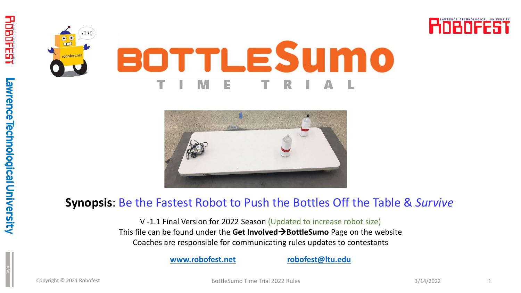





#### **Synopsis**: Be the Fastest Robot to Push the Bottles Off the Table & *Survive*

V -1.1 Final Version for 2022 Season (Updated to increase robot size) This file can be found under the **Get InvolvedBottleSumo** Page on the website Coaches are responsible for communicating rules updates to contestants

**[www.robofest.net](http://www.robofest.net/) [robofest@ltu.edu](mailto:robofest@ltu.edu)**

Copyright © 2021 Robofest **1** and 1 and 2022 Rules 3/14/2022 Rules 3/14/2022 **1**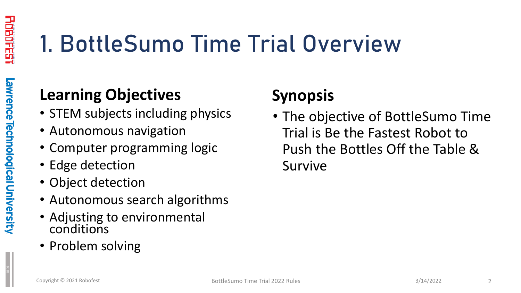# 1. BottleSumo Time Trial Overview

#### **Learning Objectives**

- STEM subjects including physics
- Autonomous navigation
- Computer programming logic
- Edge detection
- Object detection
- Autonomous search algorithms
- Adjusting to environmental conditions
- Problem solving

#### **Synopsis**

• The objective of BottleSumo Time Trial is Be the Fastest Robot to Push the Bottles Off the Table & Survive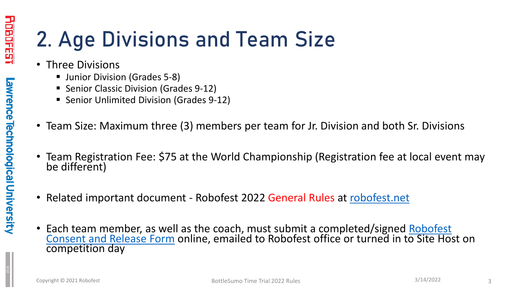## 2. Age Divisions and Team Size

- Three Divisions
	- **Junior Division (Grades 5-8)**
	- **Senior Classic Division (Grades 9-12)**
	- **Senior Unlimited Division (Grades 9-12)**
- Team Size: Maximum three (3) members per team for Jr. Division and both Sr. Divisions
- Team Registration Fee: \$75 at the World Championship (Registration fee at local event may be different)
- Related important document Robofest 2022 General Rules at [robofest.net](http://www.robofest.net/)
- [Each team member, as well as the coach, must submit a completed/signed Robofest](http://robofest.net/RobofestConsentReleaseForm.pdf) Consent and Release Form online, emailed to Robofest office or turned in to Site Host on competition day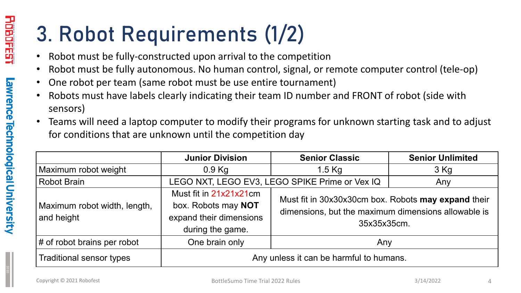# 3. Robot Requirements (1/2)

- Robot must be fully-constructed upon arrival to the competition
- Robot must be fully autonomous. No human control, signal, or remote computer control (tele-op)
- One robot per team (same robot must be use entire tournament)
- Robots must have labels clearly indicating their team ID number and FRONT of robot (side with sensors)
- Teams will need a laptop computer to modify their programs for unknown starting task and to adjust for conditions that are unknown until the competition day

|                                            | <b>Junior Division</b>                                                                       | <b>Senior Classic</b>                                                                                                     | <b>Senior Unlimited</b> |  |
|--------------------------------------------|----------------------------------------------------------------------------------------------|---------------------------------------------------------------------------------------------------------------------------|-------------------------|--|
| Maximum robot weight                       | $0.9$ Kg                                                                                     | $1.5$ Kg                                                                                                                  | $3$ Kg                  |  |
| <b>Robot Brain</b>                         | LEGO NXT, LEGO EV3, LEGO SPIKE Prime or Vex IQ                                               |                                                                                                                           | Any                     |  |
| Maximum robot width, length,<br>and height | Must fit in 21x21x21cm<br>box. Robots may NOT<br>expand their dimensions<br>during the game. | Must fit in 30x30x30cm box. Robots may expand their<br>dimensions, but the maximum dimensions allowable is<br>35x35x35cm. |                         |  |
| $\sharp$ of robot brains per robot         | One brain only                                                                               | Any                                                                                                                       |                         |  |
| <b>Traditional sensor types</b>            | Any unless it can be harmful to humans.                                                      |                                                                                                                           |                         |  |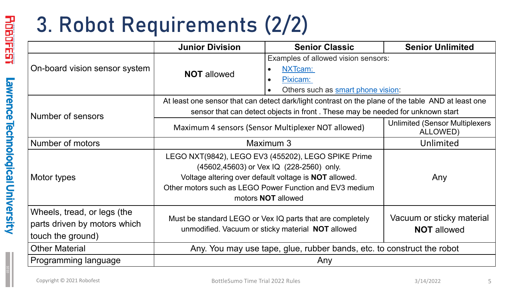# 3. Robot Requirements (2/2)

|                                                                                  | <b>Junior Division</b>                                                                                                                                                                                                                                  | <b>Senior Classic</b>                                                                            | <b>Senior Unlimited</b>                            |  |
|----------------------------------------------------------------------------------|---------------------------------------------------------------------------------------------------------------------------------------------------------------------------------------------------------------------------------------------------------|--------------------------------------------------------------------------------------------------|----------------------------------------------------|--|
| On-board vision sensor system                                                    | <b>NOT</b> allowed                                                                                                                                                                                                                                      | Examples of allowed vision sensors:<br>NXTcam:<br>Pixicam:<br>Others such as smart phone vision: |                                                    |  |
|                                                                                  | At least one sensor that can detect dark/light contrast on the plane of the table AND at least one                                                                                                                                                      |                                                                                                  |                                                    |  |
| Number of sensors                                                                | sensor that can detect objects in front. These may be needed for unknown start                                                                                                                                                                          |                                                                                                  |                                                    |  |
|                                                                                  | Maximum 4 sensors (Sensor Multiplexer NOT allowed)                                                                                                                                                                                                      |                                                                                                  | <b>Unlimited (Sensor Multiplexers)</b><br>ALLOWED) |  |
| Number of motors                                                                 | Maximum 3                                                                                                                                                                                                                                               | Unlimited                                                                                        |                                                    |  |
| Motor types                                                                      | LEGO NXT(9842), LEGO EV3 (455202), LEGO SPIKE Prime<br>(45602,45603) or Vex IQ (228-2560) only.<br>Voltage altering over default voltage is <b>NOT</b> allowed.<br>Other motors such as LEGO Power Function and EV3 medium<br>motors <b>NOT</b> allowed |                                                                                                  | Any                                                |  |
| Wheels, tread, or legs (the<br>parts driven by motors which<br>touch the ground) | Must be standard LEGO or Vex IQ parts that are completely<br>unmodified. Vacuum or sticky material NOT allowed                                                                                                                                          |                                                                                                  | Vacuum or sticky material<br><b>NOT</b> allowed    |  |
| <b>Other Material</b>                                                            | Any. You may use tape, glue, rubber bands, etc. to construct the robot                                                                                                                                                                                  |                                                                                                  |                                                    |  |
| Programming language                                                             | Any                                                                                                                                                                                                                                                     |                                                                                                  |                                                    |  |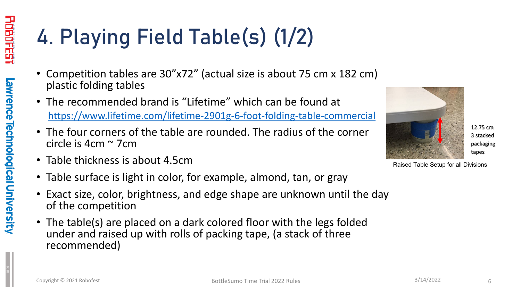1010

# 4. Playing Field Table(s) (1/2)

- Competition tables are 30"x72" (actual size is about 75 cm x 182 cm) plastic folding tables
- The recommended brand is "Lifetime" which can be found at <https://www.lifetime.com/lifetime-2901g-6-foot-folding-table-commercial>
- The four corners of the table are rounded. The radius of the corner circle is 4cm ~ 7cm
- Table thickness is about 4.5cm
- Table surface is light in color, for example, almond, tan, or gray
- Exact size, color, brightness, and edge shape are unknown until the day of the competition
- The table(s) are placed on a dark colored floor with the legs folded under and raised up with rolls of packing tape, (a stack of three recommended)



Raised Table Setup for all Divisions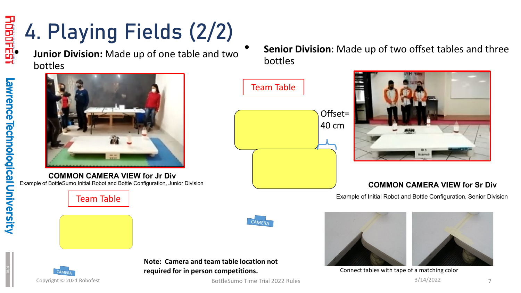

#### 4. Playing Fields (2/2) **Fig. 4. Playing Fields (2/2)**<br>Junior Division: Made up of one table and two

bottles



Example of BottleSumo Initial Robot and Bottle Configuration, Junior Division **COMMON CAMERA VIEW for Jr Div**

Team Table

CAMERA



**Note: Camera and team table location not required for in person competitions.**

BottleSumo Time Trial 2022 Rules 3/14/2022

• **Senior Division**: Made up of two offset tables and three bottles





#### **COMMON CAMERA VIEW for Sr Div**

Example of Initial Robot and Bottle Configuration, Senior Division





Connect tables with tape of a matching color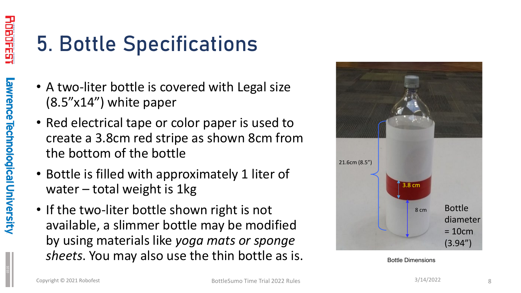1010

## 5. Bottle Specifications

- A two-liter bottle is covered with Legal size (8.5"x14") white paper
- Red electrical tape or color paper is used to create a 3.8cm red stripe as shown 8cm from the bottom of the bottle
- Bottle is filled with approximately 1 liter of water – total weight is 1kg
- If the two-liter bottle shown right is not available, a slimmer bottle may be modified by using materials like *yoga mats or sponge sheets*. You may also use the thin bottle as is.



Bottle Dimensions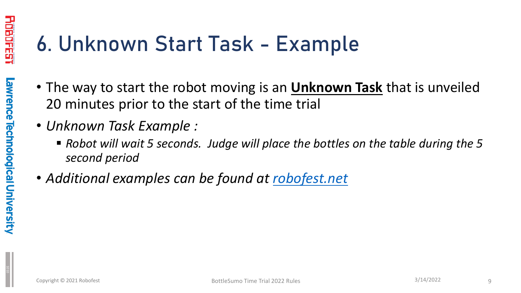# 6. Unknown Start Task - Example

- The way to start the robot moving is an **Unknown Task** that is unveiled 20 minutes prior to the start of the time trial
- *Unknown Task Example :* 
	- *Robot will wait 5 seconds. Judge will place the bottles on the table during the 5 second period*
- *Additional examples can be found at [robofest.net](https://robofest.net/)*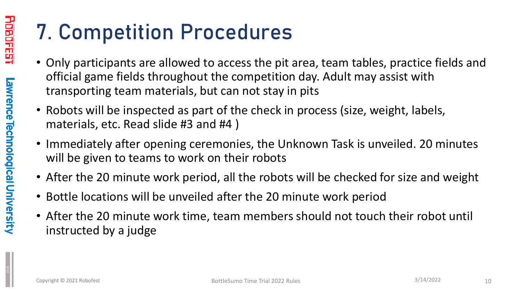### 7. Competition Procedures

- Only participants are allowed to access the pit area, team tables, practice fields and official game fields throughout the competition day. Adult may assist with transporting team materials, but can not stay in pits
- Robots will be inspected as part of the check in process (size, weight, labels, materials, etc. Read slide #3 and #4 )
- Immediately after opening ceremonies, the Unknown Task is unveiled. 20 minutes will be given to teams to work on their robots
- After the 20 minute work period, all the robots will be checked for size and weight
- Bottle locations will be unveiled after the 20 minute work period
- After the 20 minute work time, team members should not touch their robot until instructed by a judge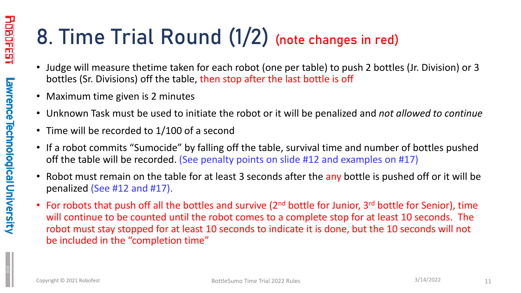#### 8. Time Trial Round (1/2) (note changes in red)

- Judge will measure thetime taken for each robot (one per table) to push 2 bottles (Jr. Division) or 3 bottles (Sr. Divisions) off the table, then stop after the last bottle is off
- Maximum time given is 2 minutes
- Unknown Task must be used to initiate the robot or it will be penalized and *not allowed to continue*
- Time will be recorded to 1/100 of a second
- If a robot commits "Sumocide" by falling off the table, survival time and number of bottles pushed off the table will be recorded. (See penalty points on slide #12 and examples on #17)
- Robot must remain on the table for at least 3 seconds after the any bottle is pushed off or it will be penalized (See #12 and #17).
- For robots that push off all the bottles and survive (2<sup>nd</sup> bottle for Junior, 3<sup>rd</sup> bottle for Senior), time will continue to be counted until the robot comes to a complete stop for at least 10 seconds. The robot must stay stopped for at least 10 seconds to indicate it is done, but the 10 seconds will not be included in the "completion time"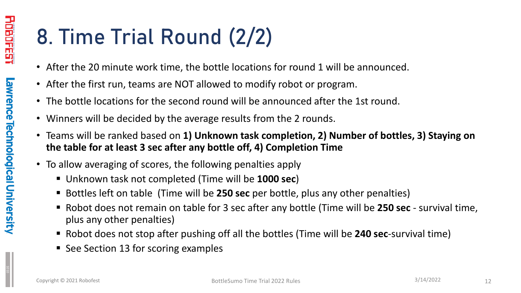## 8. Time Trial Round (2/2)

- After the 20 minute work time, the bottle locations for round 1 will be announced.
- After the first run, teams are NOT allowed to modify robot or program.
- The bottle locations for the second round will be announced after the 1st round.
- Winners will be decided by the average results from the 2 rounds.
- Teams will be ranked based on **1) Unknown task completion, 2) Number of bottles, 3) Staying on the table for at least 3 sec after any bottle off, 4) Completion Time**
- To allow averaging of scores, the following penalties apply
	- Unknown task not completed (Time will be **1000 sec**)
	- Bottles left on table (Time will be **250 sec** per bottle, plus any other penalties)
	- Robot does not remain on table for 3 sec after any bottle (Time will be **250 sec**  survival time, plus any other penalties)
	- Robot does not stop after pushing off all the bottles (Time will be **240 sec**-survival time)
	- See Section 13 for scoring examples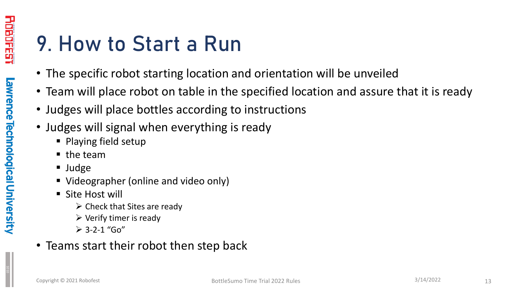#### 9. How to Start a Run

- The specific robot starting location and orientation will be unveiled
- Team will place robot on table in the specified location and assure that it is ready
- Judges will place bottles according to instructions
- Judges will signal when everything is ready
	- Playing field setup
	- $\blacksquare$  the team
	- Judge
	- Videographer (online and video only)
	- Site Host will
		- $\triangleright$  Check that Sites are ready
		- $\triangleright$  Verify timer is ready
		- $\geq 3 2 1$  "Go"
- Teams start their robot then step back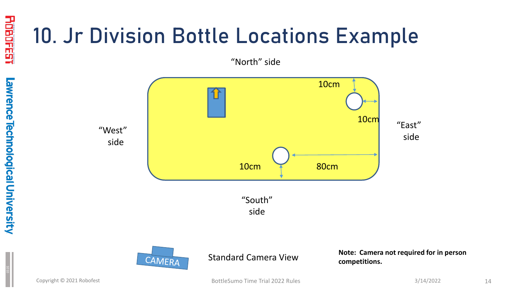## 10. Jr Division Bottle Locations Example

"North" side





Standard Camera View

**Note: Camera not required for in person competitions.**

<u>FDPPES!</u>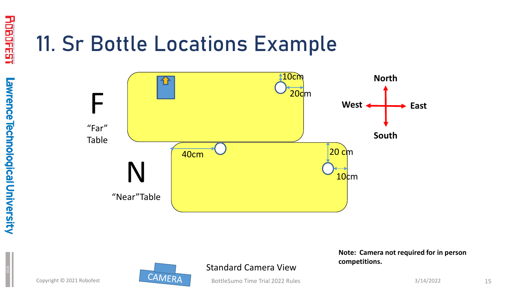#### 11. Sr Bottle Locations Example



Copyright © 2021 Robofest



Standard Camera View

BottleSumo Time Trial 2022 Rules

**Note: Camera not required for in person competitions.**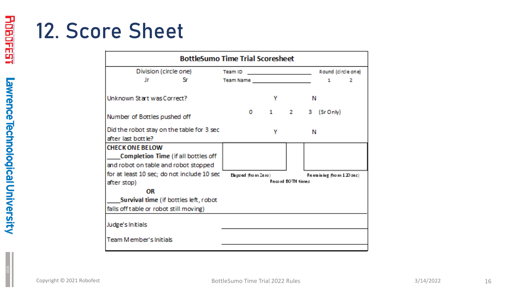#### 12. Score Sheet

| <b>BottleSumo Time Trial Scoresheet</b>    |                                                                                                                                  |                          |  |  |  |  |  |
|--------------------------------------------|----------------------------------------------------------------------------------------------------------------------------------|--------------------------|--|--|--|--|--|
| Division (circle one)                      | Team ID<br><u> 1989 - John Stein, mars and de Brandenburg and de Brandenburg and de Brandenburg and de Brandenburg and de Br</u> | Round (circle one)       |  |  |  |  |  |
| Jr<br>Sr.                                  |                                                                                                                                  | 1<br>2                   |  |  |  |  |  |
| Unknown Start was Correct?                 | Y                                                                                                                                | N                        |  |  |  |  |  |
| Number of Bottles pushed off               | $1 \quad 2 \quad$<br>$\mathbf{O}$                                                                                                | з<br>$(Sr$ Only $)$      |  |  |  |  |  |
| Did the robot stay on the table for 3 sec  | ۷                                                                                                                                | Ν                        |  |  |  |  |  |
| after last bottle?                         |                                                                                                                                  |                          |  |  |  |  |  |
| <b>CHECK ONE BELOW</b>                     |                                                                                                                                  |                          |  |  |  |  |  |
| Completion Time (if all bottles off        |                                                                                                                                  |                          |  |  |  |  |  |
| and robot on table and robot stopped       |                                                                                                                                  |                          |  |  |  |  |  |
| for at least 10 sec; do not include 10 sec | Elapsed (from Zero)                                                                                                              | Remaining (from 120 sec) |  |  |  |  |  |
| after stop)                                | Record BOTH times                                                                                                                |                          |  |  |  |  |  |
| OR                                         |                                                                                                                                  |                          |  |  |  |  |  |
| _Survival time (if bottles left, robot     |                                                                                                                                  |                          |  |  |  |  |  |
| falls off table or robot still moving)     |                                                                                                                                  |                          |  |  |  |  |  |
| Judge's Initials                           |                                                                                                                                  |                          |  |  |  |  |  |
| Team Member's Initials                     |                                                                                                                                  |                          |  |  |  |  |  |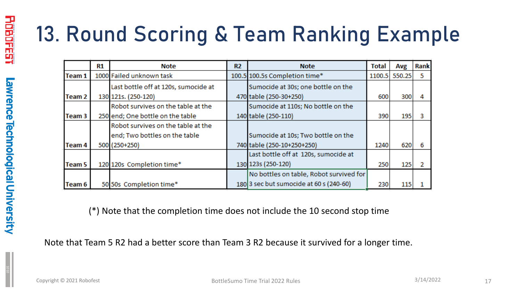# 13. Round Scoring & Team Ranking Example

|                   | R1 | Note                                 | R <sub>2</sub> | <b>Note</b>                             | Total | Avg           | Rank |
|-------------------|----|--------------------------------------|----------------|-----------------------------------------|-------|---------------|------|
| Team 1            |    | 1000 Failed unknown task             |                | 100.5 100.5s Completion time*           |       | 1100.5 550.25 | 5    |
|                   |    | Last bottle off at 120s, sumocide at |                | Sumocide at 30s; one bottle on the      |       |               |      |
| Team <sub>2</sub> |    | 130 121s. (250-120)                  |                | 470 table (250-30+250)                  | 600   | 300           | 4    |
|                   |    | Robot survives on the table at the   |                | Sumocide at 110s; No bottle on the      |       |               |      |
| Team 3            |    | 250 end; One bottle on the table     |                | 140 table (250-110)                     | 390   | 195           |      |
|                   |    | Robot survives on the table at the   |                |                                         |       |               |      |
|                   |    | end; Two bottles on the table        |                | Sumocide at 10s; Two bottle on the      |       |               |      |
| <b>Team 4</b>     |    | 500 (250+250)                        |                | 740 table (250-10+250+250)              | 1240  | 620           | 6    |
|                   |    |                                      |                | Last bottle off at 120s, sumocide at    |       |               |      |
| <b>Team 5</b>     |    | 120 120s Completion time*            |                | 130 123s (250-120)                      | 250   | 125           |      |
|                   |    |                                      |                | No bottles on table, Robot survived for |       |               |      |
| Team 6            |    | 50 50s Completion time*              |                | 180 3 sec but sumocide at 60 s (240-60) | 230   | 115           |      |

(\*) Note that the completion time does not include the 10 second stop time

Note that Team 5 R2 had a better score than Team 3 R2 because it survived for a longer time.

HILL PLEE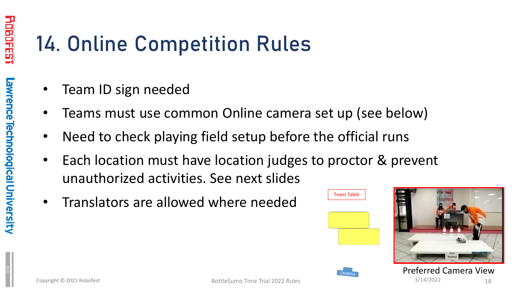# 14. Online Competition Rules

- Team ID sign needed
- Teams must use common Online camera set up (see below)
- Need to check playing field setup before the official runs
- Each location must have location judges to proctor & prevent unauthorized activities. See next slides
- Translators are allowed where needed





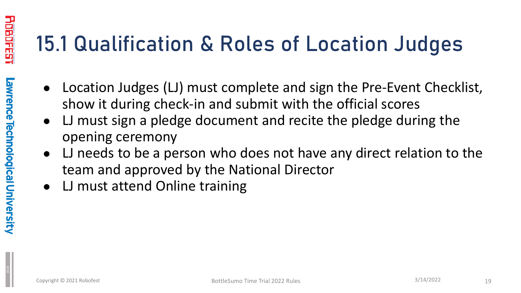## 15.1 Qualification & Roles of Location Judges

- Location Judges (LJ) must complete and sign the Pre-Event Checklist, show it during check-in and submit with the official scores
- LJ must sign a pledge document and recite the pledge during the opening ceremony
- LJ needs to be a person who does not have any direct relation to the team and approved by the National Director
- LJ must attend Online training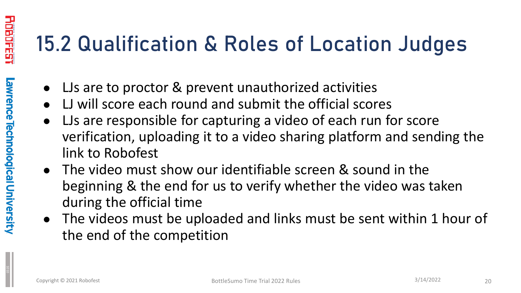### 15.2 Qualification & Roles of Location Judges

- LJs are to proctor & prevent unauthorized activities
- LJ will score each round and submit the official scores
- LJs are responsible for capturing a video of each run for score verification, uploading it to a video sharing platform and sending the link to Robofest
- The video must show our identifiable screen & sound in the beginning & the end for us to verify whether the video was taken during the official time
- The videos must be uploaded and links must be sent within 1 hour of the end of the competition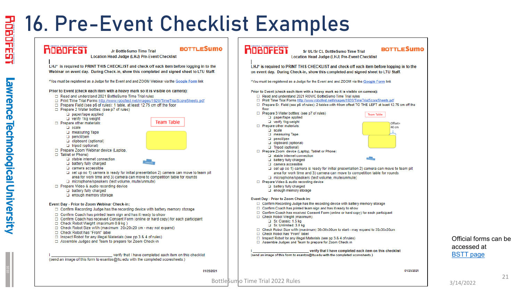#### 16. Pre-Event Checklist Examples



Official forms can be accessed at **BSTT** page

21

 $\begin{array}{|c|c|c|c|c|}\hline \textbf{1} & \textbf{1} & \textbf{1} & \textbf{1} \\ \hline \textbf{2} & \textbf{3} & \textbf{1} & \textbf{1} & \textbf{1} \\ \hline \textbf{3} & \textbf{1} & \textbf{1} & \textbf{1} & \textbf{1} & \textbf{1} \\ \hline \textbf{4} & \textbf{1} & \textbf{1} & \textbf{1} & \textbf{1} & \textbf{1} \\ \hline \textbf{5} & \textbf{1} & \textbf{1} & \textbf{1} & \textbf{1} & \textbf{1} &$ 

awrence

**Technological Universit**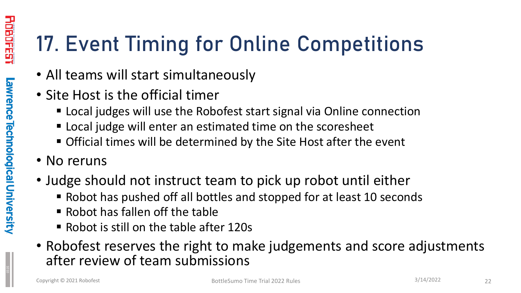# 17. Event Timing for Online Competitions

- All teams will start simultaneously
- Site Host is the official timer
	- Local judges will use the Robofest start signal via Online connection
	- **Example 2** Local judge will enter an estimated time on the scoresheet
	- Official times will be determined by the Site Host after the event
- No reruns
- Judge should not instruct team to pick up robot until either
	- Robot has pushed off all bottles and stopped for at least 10 seconds
	- Robot has fallen off the table
	- Robot is still on the table after 120s
- Robofest reserves the right to make judgements and score adjustments after review of team submissions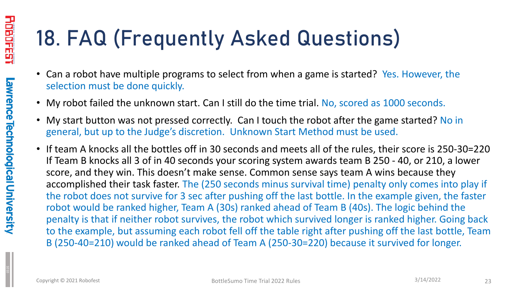# 18. FAQ (Frequently Asked Questions)

- Can a robot have multiple programs to select from when a game is started? Yes. However, the selection must be done quickly.
- My robot failed the unknown start. Can I still do the time trial. No, scored as 1000 seconds.
- My start button was not pressed correctly. Can I touch the robot after the game started? No in general, but up to the Judge's discretion. Unknown Start Method must be used.
- If team A knocks all the bottles off in 30 seconds and meets all of the rules, their score is 250-30=220 If Team B knocks all 3 of in 40 seconds your scoring system awards team B 250 - 40, or 210, a lower score, and they win. This doesn't make sense. Common sense says team A wins because they accomplished their task faster. The (250 seconds minus survival time) penalty only comes into play if the robot does not survive for 3 sec after pushing off the last bottle. In the example given, the faster robot would be ranked higher, Team A (30s) ranked ahead of Team B (40s). The logic behind the penalty is that if neither robot survives, the robot which survived longer is ranked higher. Going back to the example, but assuming each robot fell off the table right after pushing off the last bottle, Team B (250-40=210) would be ranked ahead of Team A (250-30=220) because it survived for longer.